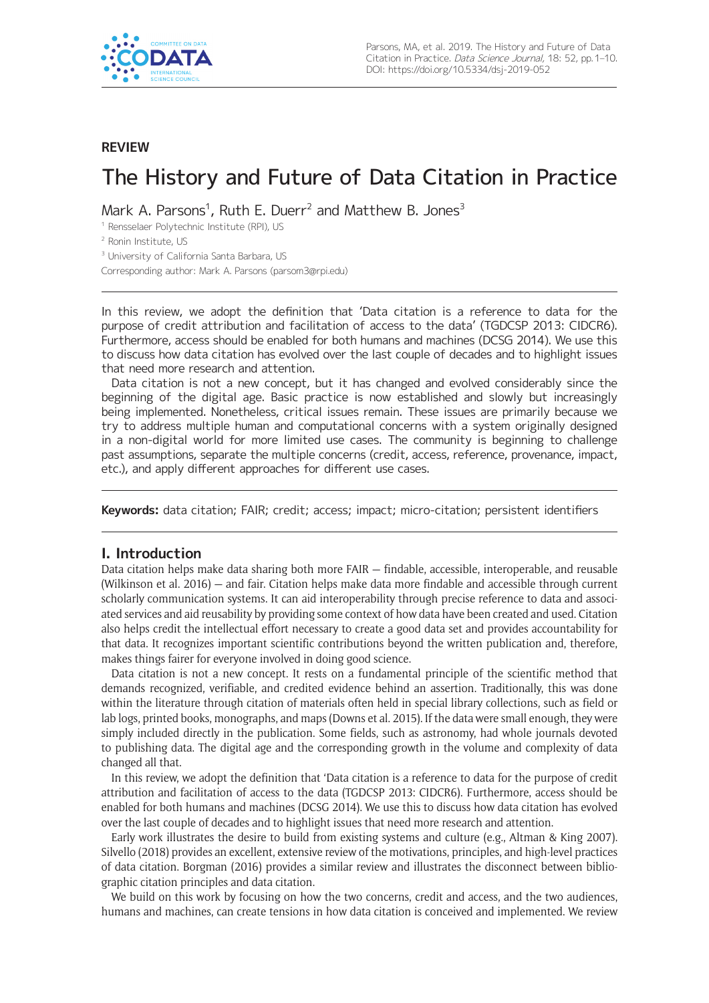

# **REVIEW**

# The History and Future of Data Citation in Practice

Mark A. Parsons<sup>1</sup>, Ruth E. Duerr<sup>2</sup> and Matthew B. Jones<sup>3</sup>

<sup>1</sup> Rensselaer Polytechnic Institute (RPI), US

<sup>2</sup> Ronin Institute, US

<sup>3</sup> University of California Santa Barbara, US

Corresponding author: Mark A. Parsons ([parsom3@rpi.edu](mailto:parsom3@rpi.edu))

In this review, we adopt the definition that 'Data citation is a reference to data for the purpose of credit attribution and facilitation of access to the data' (TGDCSP 2013: CIDCR6). Furthermore, access should be enabled for both humans and machines (DCSG 2014). We use this to discuss how data citation has evolved over the last couple of decades and to highlight issues that need more research and attention.

Data citation is not a new concept, but it has changed and evolved considerably since the beginning of the digital age. Basic practice is now established and slowly but increasingly being implemented. Nonetheless, critical issues remain. These issues are primarily because we try to address multiple human and computational concerns with a system originally designed in a non-digital world for more limited use cases. The community is beginning to challenge past assumptions, separate the multiple concerns (credit, access, reference, provenance, impact, etc.), and apply different approaches for different use cases.

**Keywords:** data citation; FAIR; credit; access; impact; micro-citation; persistent identifiers

## **I. Introduction**

Data citation helps make data sharing both more FAIR — findable, accessible, interoperable, and reusable (Wilkinson et al. 2016) — and fair. Citation helps make data more findable and accessible through current scholarly communication systems. It can aid interoperability through precise reference to data and associated services and aid reusability by providing some context of how data have been created and used. Citation also helps credit the intellectual effort necessary to create a good data set and provides accountability for that data. It recognizes important scientific contributions beyond the written publication and, therefore, makes things fairer for everyone involved in doing good science.

Data citation is not a new concept. It rests on a fundamental principle of the scientific method that demands recognized, verifiable, and credited evidence behind an assertion. Traditionally, this was done within the literature through citation of materials often held in special library collections, such as field or lab logs, printed books, monographs, and maps (Downs et al. 2015). If the data were small enough, they were simply included directly in the publication. Some fields, such as astronomy, had whole journals devoted to publishing data. The digital age and the corresponding growth in the volume and complexity of data changed all that.

In this review, we adopt the definition that 'Data citation is a reference to data for the purpose of credit attribution and facilitation of access to the data (TGDCSP 2013: CIDCR6). Furthermore, access should be enabled for both humans and machines (DCSG 2014). We use this to discuss how data citation has evolved over the last couple of decades and to highlight issues that need more research and attention.

Early work illustrates the desire to build from existing systems and culture (e.g., Altman & King 2007). Silvello (2018) provides an excellent, extensive review of the motivations, principles, and high-level practices of data citation. Borgman (2016) provides a similar review and illustrates the disconnect between bibliographic citation principles and data citation.

We build on this work by focusing on how the two concerns, credit and access, and the two audiences, humans and machines, can create tensions in how data citation is conceived and implemented. We review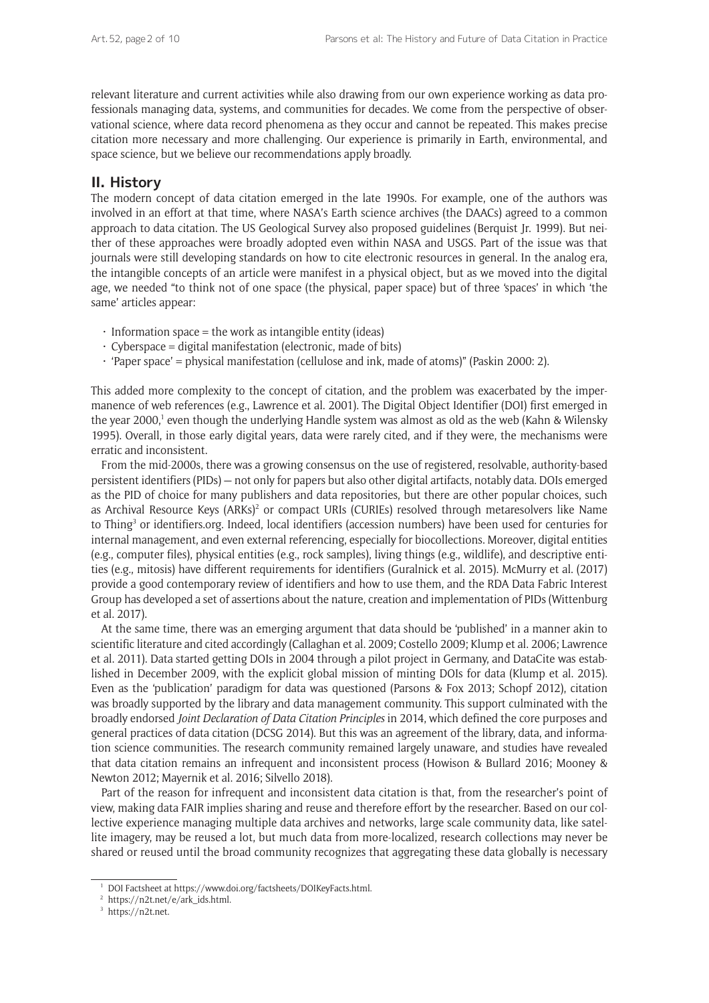relevant literature and current activities while also drawing from our own experience working as data professionals managing data, systems, and communities for decades. We come from the perspective of observational science, where data record phenomena as they occur and cannot be repeated. This makes precise citation more necessary and more challenging. Our experience is primarily in Earth, environmental, and space science, but we believe our recommendations apply broadly.

# **II. History**

The modern concept of data citation emerged in the late 1990s. For example, one of the authors was involved in an effort at that time, where NASA's Earth science archives (the DAACs) agreed to a common approach to data citation. The US Geological Survey also proposed guidelines (Berquist Jr. 1999). But neither of these approaches were broadly adopted even within NASA and USGS. Part of the issue was that journals were still developing standards on how to cite electronic resources in general. In the analog era, the intangible concepts of an article were manifest in a physical object, but as we moved into the digital age, we needed "to think not of one space (the physical, paper space) but of three 'spaces' in which 'the same' articles appear:

- $\cdot$  Information space = the work as intangible entity (ideas)
- $\cdot$  Cyberspace = digital manifestation (electronic, made of bits)
- 'Paper space' = physical manifestation (cellulose and ink, made of atoms)" (Paskin 2000: 2).

This added more complexity to the concept of citation, and the problem was exacerbated by the impermanence of web references (e.g., Lawrence et al. 2001). The Digital Object Identifier (DOI) first emerged in the year 2000,<sup>1</sup> even though the underlying Handle system was almost as old as the web (Kahn & Wilensky 1995). Overall, in those early digital years, data were rarely cited, and if they were, the mechanisms were erratic and inconsistent.

From the mid-2000s, there was a growing consensus on the use of registered, resolvable, authority-based persistent identifiers (PIDs) — not only for papers but also other digital artifacts, notably data. DOIs emerged as the PID of choice for many publishers and data repositories, but there are other popular choices, such as Archival Resource Keys (ARKs)<sup>2</sup> or compact URIs (CURIEs) resolved through metaresolvers like Name to Thing<sup>3</sup> or identifiers.org. Indeed, local identifiers (accession numbers) have been used for centuries for internal management, and even external referencing, especially for biocollections. Moreover, digital entities (e.g., computer files), physical entities (e.g., rock samples), living things (e.g., wildlife), and descriptive entities (e.g., mitosis) have different requirements for identifiers (Guralnick et al. 2015). McMurry et al. (2017) provide a good contemporary review of identifiers and how to use them, and the RDA Data Fabric Interest Group has developed a set of assertions about the nature, creation and implementation of PIDs (Wittenburg et al. 2017).

At the same time, there was an emerging argument that data should be 'published' in a manner akin to scientific literature and cited accordingly (Callaghan et al. 2009; Costello 2009; Klump et al. 2006; Lawrence et al. 2011). Data started getting DOIs in 2004 through a pilot project in Germany, and DataCite was established in December 2009, with the explicit global mission of minting DOIs for data (Klump et al. 2015). Even as the 'publication' paradigm for data was questioned (Parsons & Fox 2013; Schopf 2012), citation was broadly supported by the library and data management community. This support culminated with the broadly endorsed *Joint Declaration of Data Citation Principles* in 2014, which defined the core purposes and general practices of data citation (DCSG 2014). But this was an agreement of the library, data, and information science communities. The research community remained largely unaware, and studies have revealed that data citation remains an infrequent and inconsistent process (Howison & Bullard 2016; Mooney & Newton 2012; Mayernik et al. 2016; Silvello 2018).

Part of the reason for infrequent and inconsistent data citation is that, from the researcher's point of view, making data FAIR implies sharing and reuse and therefore effort by the researcher. Based on our collective experience managing multiple data archives and networks, large scale community data, like satellite imagery, may be reused a lot, but much data from more-localized, research collections may never be shared or reused until the broad community recognizes that aggregating these data globally is necessary

<sup>1</sup> DOI Factsheet at [https://www.doi.org/factsheets/DOIKeyFacts.html.](https://www.doi.org/factsheets/DOIKeyFacts.html)

 $2 \text{ https://n2t.net/e/ark\_ids.html.}$ 

<sup>&</sup>lt;sup>3</sup> [https://n2t.net.](https://n2t.net)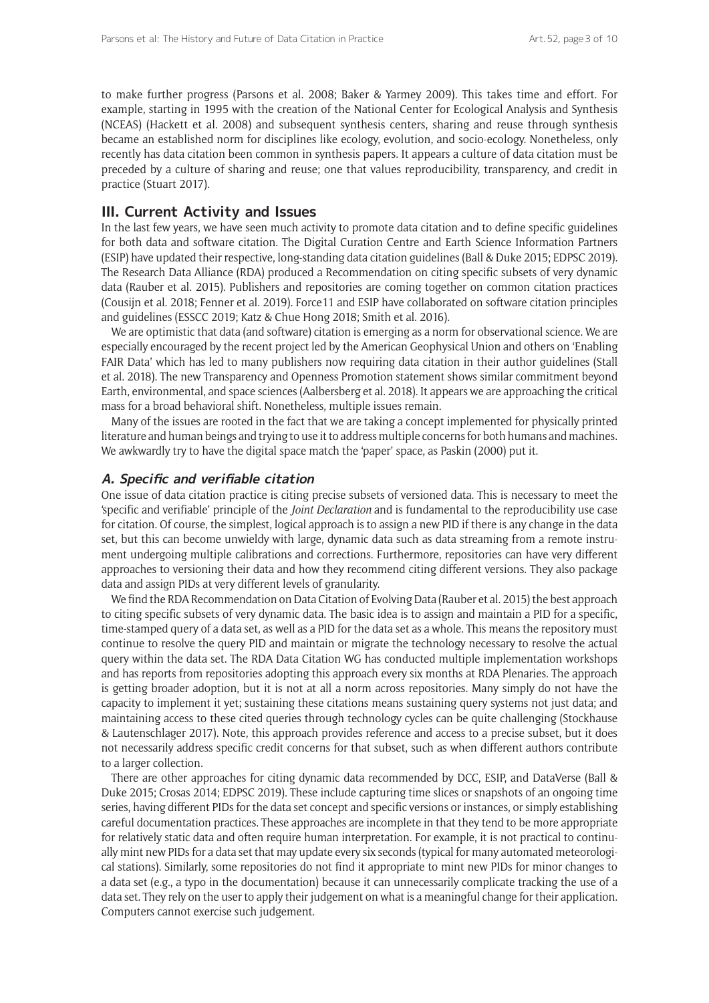to make further progress (Parsons et al. 2008; Baker & Yarmey 2009). This takes time and effort. For example, starting in 1995 with the creation of the National Center for Ecological Analysis and Synthesis (NCEAS) (Hackett et al. 2008) and subsequent synthesis centers, sharing and reuse through synthesis became an established norm for disciplines like ecology, evolution, and socio-ecology. Nonetheless, only recently has data citation been common in synthesis papers. It appears a culture of data citation must be preceded by a culture of sharing and reuse; one that values reproducibility, transparency, and credit in practice (Stuart 2017).

#### **III. Current Activity and Issues**

In the last few years, we have seen much activity to promote data citation and to define specific guidelines for both data and software citation. The Digital Curation Centre and Earth Science Information Partners (ESIP) have updated their respective, long-standing data citation guidelines (Ball & Duke 2015; EDPSC 2019). The Research Data Alliance (RDA) produced a Recommendation on citing specific subsets of very dynamic data (Rauber et al. 2015). Publishers and repositories are coming together on common citation practices (Cousijn et al. 2018; Fenner et al. 2019). Force11 and ESIP have collaborated on software citation principles and guidelines (ESSCC 2019; Katz & Chue Hong 2018; Smith et al. 2016).

We are optimistic that data (and software) citation is emerging as a norm for observational science. We are especially encouraged by the recent project led by the American Geophysical Union and others on 'Enabling FAIR Data' which has led to many publishers now requiring data citation in their author guidelines (Stall et al. 2018). The new Transparency and Openness Promotion statement shows similar commitment beyond Earth, environmental, and space sciences (Aalbersberg et al. 2018). It appears we are approaching the critical mass for a broad behavioral shift. Nonetheless, multiple issues remain.

Many of the issues are rooted in the fact that we are taking a concept implemented for physically printed literature and human beings and trying to use it to address multiple concerns for both humans and machines. We awkwardly try to have the digital space match the 'paper' space, as Paskin (2000) put it.

#### **A. Specific and verifiable citation**

One issue of data citation practice is citing precise subsets of versioned data. This is necessary to meet the 'specific and verifiable' principle of the *Joint Declaration* and is fundamental to the reproducibility use case for citation. Of course, the simplest, logical approach is to assign a new PID if there is any change in the data set, but this can become unwieldy with large, dynamic data such as data streaming from a remote instrument undergoing multiple calibrations and corrections. Furthermore, repositories can have very different approaches to versioning their data and how they recommend citing different versions. They also package data and assign PIDs at very different levels of granularity.

We find the RDA Recommendation on Data Citation of Evolving Data (Rauber et al. 2015) the best approach to citing specific subsets of very dynamic data. The basic idea is to assign and maintain a PID for a specific, time-stamped query of a data set, as well as a PID for the data set as a whole. This means the repository must continue to resolve the query PID and maintain or migrate the technology necessary to resolve the actual query within the data set. The RDA Data Citation WG has conducted multiple implementation workshops and has reports from repositories adopting this approach every six months at RDA Plenaries. The approach is getting broader adoption, but it is not at all a norm across repositories. Many simply do not have the capacity to implement it yet; sustaining these citations means sustaining query systems not just data; and maintaining access to these cited queries through technology cycles can be quite challenging (Stockhause & Lautenschlager 2017). Note, this approach provides reference and access to a precise subset, but it does not necessarily address specific credit concerns for that subset, such as when different authors contribute to a larger collection.

There are other approaches for citing dynamic data recommended by DCC, ESIP, and DataVerse (Ball & Duke 2015; Crosas 2014; EDPSC 2019). These include capturing time slices or snapshots of an ongoing time series, having different PIDs for the data set concept and specific versions or instances, or simply establishing careful documentation practices. These approaches are incomplete in that they tend to be more appropriate for relatively static data and often require human interpretation. For example, it is not practical to continually mint new PIDs for a data set that may update every six seconds (typical for many automated meteorological stations). Similarly, some repositories do not find it appropriate to mint new PIDs for minor changes to a data set (e.g., a typo in the documentation) because it can unnecessarily complicate tracking the use of a data set. They rely on the user to apply their judgement on what is a meaningful change for their application. Computers cannot exercise such judgement.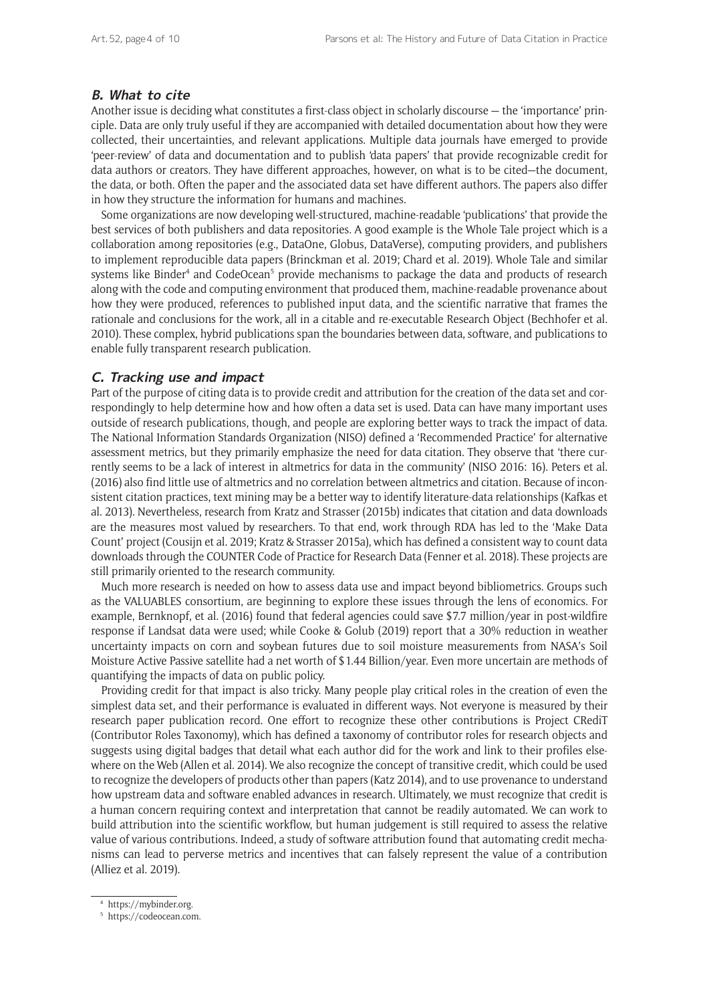## **B. What to cite**

Another issue is deciding what constitutes a first-class object in scholarly discourse — the 'importance' principle. Data are only truly useful if they are accompanied with detailed documentation about how they were collected, their uncertainties, and relevant applications. Multiple data journals have emerged to provide 'peer-review' of data and documentation and to publish 'data papers' that provide recognizable credit for data authors or creators. They have different approaches, however, on what is to be cited—the document, the data, or both. Often the paper and the associated data set have different authors. The papers also differ in how they structure the information for humans and machines.

Some organizations are now developing well-structured, machine-readable 'publications' that provide the best services of both publishers and data repositories. A good example is the Whole Tale project which is a collaboration among repositories (e.g., DataOne, Globus, DataVerse), computing providers, and publishers to implement reproducible data papers (Brinckman et al. 2019; Chard et al. 2019). Whole Tale and similar systems like Binder<sup>4</sup> and CodeOcean<sup>5</sup> provide mechanisms to package the data and products of research along with the code and computing environment that produced them, machine-readable provenance about how they were produced, references to published input data, and the scientific narrative that frames the rationale and conclusions for the work, all in a citable and re-executable Research Object (Bechhofer et al. 2010). These complex, hybrid publications span the boundaries between data, software, and publications to enable fully transparent research publication.

#### **C. Tracking use and impact**

Part of the purpose of citing data is to provide credit and attribution for the creation of the data set and correspondingly to help determine how and how often a data set is used. Data can have many important uses outside of research publications, though, and people are exploring better ways to track the impact of data. The National Information Standards Organization (NISO) defined a 'Recommended Practice' for alternative assessment metrics, but they primarily emphasize the need for data citation. They observe that 'there currently seems to be a lack of interest in altmetrics for data in the community' (NISO 2016: 16). Peters et al. (2016) also find little use of altmetrics and no correlation between altmetrics and citation. Because of inconsistent citation practices, text mining may be a better way to identify literature-data relationships (Kafkas et al. 2013). Nevertheless, research from Kratz and Strasser (2015b) indicates that citation and data downloads are the measures most valued by researchers. To that end, work through RDA has led to the 'Make Data Count' project (Cousijn et al. 2019; Kratz & Strasser 2015a), which has defined a consistent way to count data downloads through the COUNTER Code of Practice for Research Data (Fenner et al. 2018). These projects are still primarily oriented to the research community.

Much more research is needed on how to assess data use and impact beyond bibliometrics. Groups such as the VALUABLES consortium, are beginning to explore these issues through the lens of economics. For example, Bernknopf, et al. (2016) found that federal agencies could save \$7.7 million/year in post-wildfire response if Landsat data were used; while Cooke & Golub (2019) report that a 30% reduction in weather uncertainty impacts on corn and soybean futures due to soil moisture measurements from NASA's Soil Moisture Active Passive satellite had a net worth of \$1.44 Billion/year. Even more uncertain are methods of quantifying the impacts of data on public policy.

Providing credit for that impact is also tricky. Many people play critical roles in the creation of even the simplest data set, and their performance is evaluated in different ways. Not everyone is measured by their research paper publication record. One effort to recognize these other contributions is Project CRediT (Contributor Roles Taxonomy), which has defined a taxonomy of contributor roles for research objects and suggests using digital badges that detail what each author did for the work and link to their profiles elsewhere on the Web (Allen et al. 2014). We also recognize the concept of transitive credit, which could be used to recognize the developers of products other than papers (Katz 2014), and to use provenance to understand how upstream data and software enabled advances in research. Ultimately, we must recognize that credit is a human concern requiring context and interpretation that cannot be readily automated. We can work to build attribution into the scientific workflow, but human judgement is still required to assess the relative value of various contributions. Indeed, a study of software attribution found that automating credit mechanisms can lead to perverse metrics and incentives that can falsely represent the value of a contribution (Alliez et al. 2019).

<https://mybinder.org>.

<sup>5</sup> <https://codeocean.com>.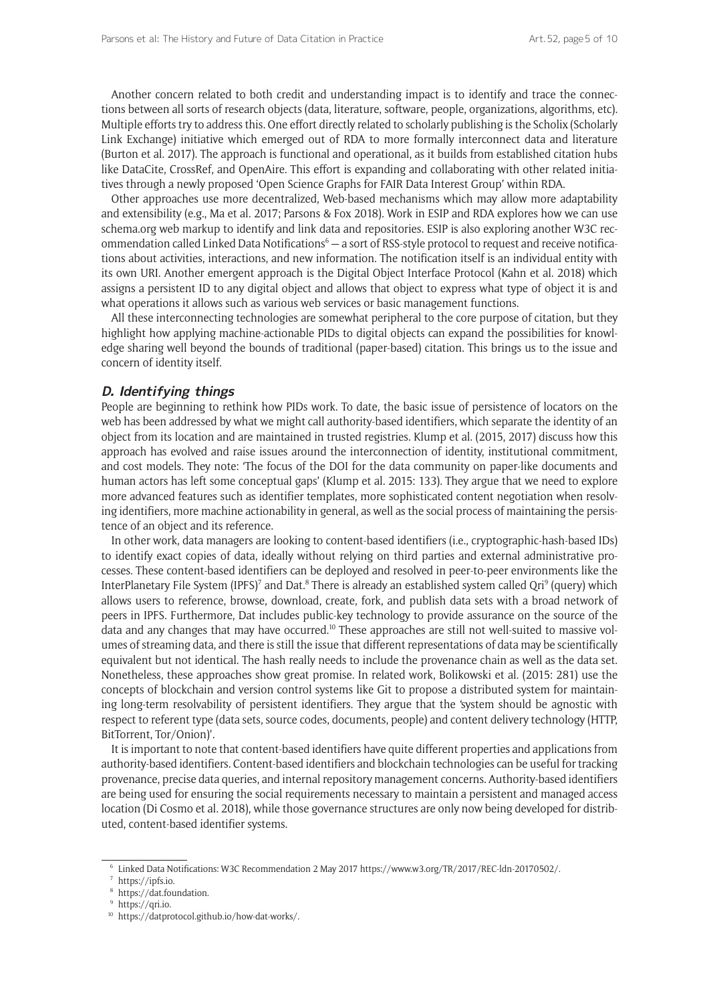Another concern related to both credit and understanding impact is to identify and trace the connections between all sorts of research objects (data, literature, software, people, organizations, algorithms, etc). Multiple efforts try to address this. One effort directly related to scholarly publishing is the Scholix (Scholarly Link Exchange) initiative which emerged out of RDA to more formally interconnect data and literature (Burton et al. 2017). The approach is functional and operational, as it builds from established citation hubs like DataCite, CrossRef, and OpenAire. This effort is expanding and collaborating with other related initiatives through a newly proposed 'Open Science Graphs for FAIR Data Interest Group' within RDA.

Other approaches use more decentralized, Web-based mechanisms which may allow more adaptability and extensibility (e.g., Ma et al. 2017; Parsons & Fox 2018). Work in ESIP and RDA explores how we can use schema.org web markup to identify and link data and repositories. ESIP is also exploring another W3C recommendation called Linked Data Notifications<sup>6</sup> - a sort of RSS-style protocol to request and receive notifications about activities, interactions, and new information. The notification itself is an individual entity with its own URI. Another emergent approach is the Digital Object Interface Protocol (Kahn et al. 2018) which assigns a persistent ID to any digital object and allows that object to express what type of object it is and what operations it allows such as various web services or basic management functions.

All these interconnecting technologies are somewhat peripheral to the core purpose of citation, but they highlight how applying machine-actionable PIDs to digital objects can expand the possibilities for knowledge sharing well beyond the bounds of traditional (paper-based) citation. This brings us to the issue and concern of identity itself.

#### **D. Identifying things**

People are beginning to rethink how PIDs work. To date, the basic issue of persistence of locators on the web has been addressed by what we might call authority-based identifiers, which separate the identity of an object from its location and are maintained in trusted registries. Klump et al. (2015, 2017) discuss how this approach has evolved and raise issues around the interconnection of identity, institutional commitment, and cost models. They note: 'The focus of the DOI for the data community on paper-like documents and human actors has left some conceptual gaps' (Klump et al. 2015: 133). They argue that we need to explore more advanced features such as identifier templates, more sophisticated content negotiation when resolving identifiers, more machine actionability in general, as well as the social process of maintaining the persistence of an object and its reference.

In other work, data managers are looking to content-based identifiers (i.e., cryptographic-hash-based IDs) to identify exact copies of data, ideally without relying on third parties and external administrative processes. These content-based identifiers can be deployed and resolved in peer-to-peer environments like the InterPlanetary File System (IPFS)<sup>7</sup> and Dat.<sup>8</sup> There is already an established system called Qri<sup>9</sup> (query) which allows users to reference, browse, download, create, fork, and publish data sets with a broad network of peers in IPFS. Furthermore, Dat includes public-key technology to provide assurance on the source of the data and any changes that may have occurred.<sup>10</sup> These approaches are still not well-suited to massive volumes of streaming data, and there is still the issue that different representations of data may be scientifically equivalent but not identical. The hash really needs to include the provenance chain as well as the data set. Nonetheless, these approaches show great promise. In related work, Bolikowski et al. (2015: 281) use the concepts of blockchain and version control systems like Git to propose a distributed system for maintaining long-term resolvability of persistent identifiers. They argue that the 'system should be agnostic with respect to referent type (data sets, source codes, documents, people) and content delivery technology (HTTP, BitTorrent, Tor/Onion)'.

It is important to note that content-based identifiers have quite different properties and applications from authority-based identifiers. Content-based identifiers and blockchain technologies can be useful for tracking provenance, precise data queries, and internal repository management concerns. Authority-based identifiers are being used for ensuring the social requirements necessary to maintain a persistent and managed access location (Di Cosmo et al. 2018), while those governance structures are only now being developed for distributed, content-based identifier systems.

<sup>6</sup> Linked Data Notifications: W3C Recommendation 2 May 2017<https://www.w3.org/TR/2017/REC-ldn-20170502/>.

<sup>7</sup> <https://ipfs.io>.

<sup>8</sup> [https://dat.foundation.](https://dat.foundation)

<sup>&</sup>lt;sup>9</sup> <https://qri.io>.

<sup>10</sup> [https://datprotocol.github.io/how-dat-works/.](https://datprotocol.github.io/how-dat-works/)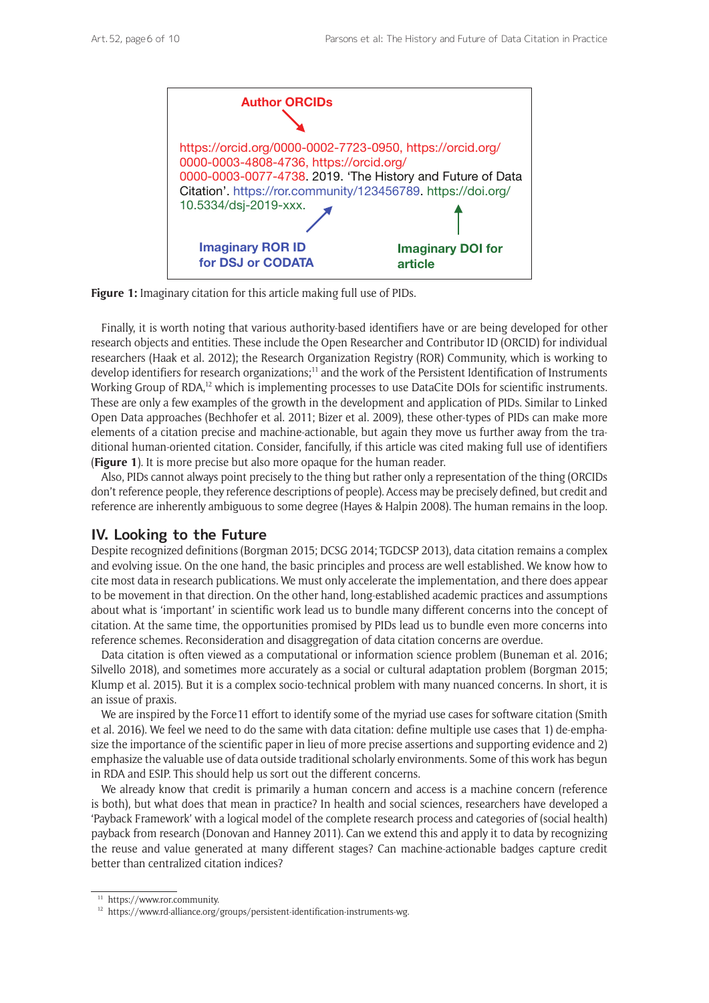

**Figure 1:** Imaginary citation for this article making full use of PIDs.

Finally, it is worth noting that various authority-based identifiers have or are being developed for other research objects and entities. These include the Open Researcher and Contributor ID (ORCID) for individual researchers (Haak et al. 2012); the Research Organization Registry (ROR) Community, which is working to develop identifiers for research organizations;<sup>11</sup> and the work of the Persistent Identification of Instruments Working Group of RDA,<sup>12</sup> which is implementing processes to use DataCite DOIs for scientific instruments. These are only a few examples of the growth in the development and application of PIDs. Similar to Linked Open Data approaches (Bechhofer et al. 2011; Bizer et al. 2009), these other-types of PIDs can make more elements of a citation precise and machine-actionable, but again they move us further away from the traditional human-oriented citation. Consider, fancifully, if this article was cited making full use of identifiers (**Figure 1**). It is more precise but also more opaque for the human reader.

Also, PIDs cannot always point precisely to the thing but rather only a representation of the thing (ORCIDs don't reference people, they reference descriptions of people). Access may be precisely defined, but credit and reference are inherently ambiguous to some degree (Hayes & Halpin 2008). The human remains in the loop.

# **IV. Looking to the Future**

Despite recognized definitions (Borgman 2015; DCSG 2014; TGDCSP 2013), data citation remains a complex and evolving issue. On the one hand, the basic principles and process are well established. We know how to cite most data in research publications. We must only accelerate the implementation, and there does appear to be movement in that direction. On the other hand, long-established academic practices and assumptions about what is 'important' in scientific work lead us to bundle many different concerns into the concept of citation. At the same time, the opportunities promised by PIDs lead us to bundle even more concerns into reference schemes. Reconsideration and disaggregation of data citation concerns are overdue.

Data citation is often viewed as a computational or information science problem (Buneman et al. 2016; Silvello 2018), and sometimes more accurately as a social or cultural adaptation problem (Borgman 2015; Klump et al. 2015). But it is a complex socio-technical problem with many nuanced concerns. In short, it is an issue of praxis.

We are inspired by the Force11 effort to identify some of the myriad use cases for software citation (Smith et al. 2016). We feel we need to do the same with data citation: define multiple use cases that 1) de-emphasize the importance of the scientific paper in lieu of more precise assertions and supporting evidence and 2) emphasize the valuable use of data outside traditional scholarly environments. Some of this work has begun in RDA and ESIP. This should help us sort out the different concerns.

We already know that credit is primarily a human concern and access is a machine concern (reference is both), but what does that mean in practice? In health and social sciences, researchers have developed a 'Payback Framework' with a logical model of the complete research process and categories of (social health) payback from research (Donovan and Hanney 2011). Can we extend this and apply it to data by recognizing the reuse and value generated at many different stages? Can machine-actionable badges capture credit better than centralized citation indices?

<sup>11</sup> [https://www.ror.community.](https://www.ror.community)

<sup>&</sup>lt;sup>12</sup> <https://www.rd-alliance.org/groups/persistent-identification-instruments-wg>.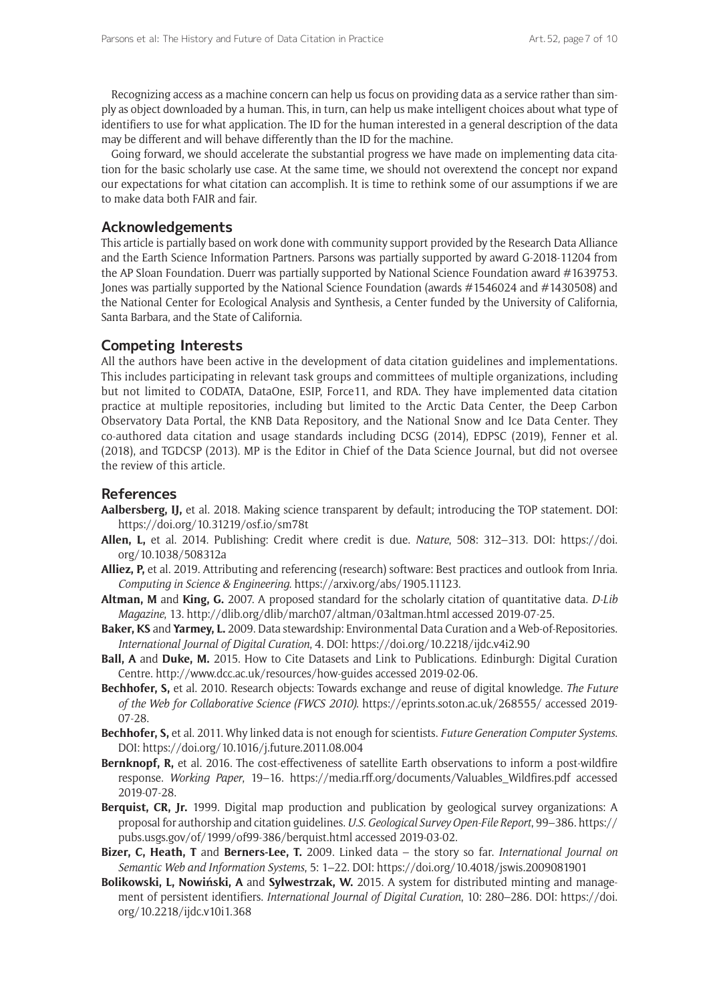Recognizing access as a machine concern can help us focus on providing data as a service rather than simply as object downloaded by a human. This, in turn, can help us make intelligent choices about what type of identifiers to use for what application. The ID for the human interested in a general description of the data may be different and will behave differently than the ID for the machine.

Going forward, we should accelerate the substantial progress we have made on implementing data citation for the basic scholarly use case. At the same time, we should not overextend the concept nor expand our expectations for what citation can accomplish. It is time to rethink some of our assumptions if we are to make data both FAIR and fair.

# **Acknowledgements**

This article is partially based on work done with community support provided by the Research Data Alliance and the Earth Science Information Partners. Parsons was partially supported by award G-2018-11204 from the AP Sloan Foundation. Duerr was partially supported by National Science Foundation award #1639753. Jones was partially supported by the National Science Foundation (awards #1546024 and #1430508) and the National Center for Ecological Analysis and Synthesis, a Center funded by the University of California, Santa Barbara, and the State of California.

# **Competing Interests**

All the authors have been active in the development of data citation guidelines and implementations. This includes participating in relevant task groups and committees of multiple organizations, including but not limited to CODATA, DataOne, ESIP, Force11, and RDA. They have implemented data citation practice at multiple repositories, including but limited to the Arctic Data Center, the Deep Carbon Observatory Data Portal, the KNB Data Repository, and the National Snow and Ice Data Center. They co-authored data citation and usage standards including DCSG (2014), EDPSC (2019), Fenner et al. (2018), and TGDCSP (2013). MP is the Editor in Chief of the Data Science Journal, but did not oversee the review of this article.

## **References**

- **Aalbersberg, IJ,** et al. 2018. Making science transparent by default; introducing the TOP statement. DOI: <https://doi.org/10.31219/osf.io/sm78t>
- **Allen, L,** et al. 2014. Publishing: Credit where credit is due. *Nature*, 508: 312–313. DOI: [https://doi.](https://doi.org/10.1038/508312a) [org/10.1038/508312a](https://doi.org/10.1038/508312a)
- **Alliez, P,** et al. 2019. Attributing and referencing (research) software: Best practices and outlook from Inria. *Computing in Science & Engineering*.<https://arxiv.org/abs/1905.11123>.
- **Altman, M** and **King, G.** 2007. A proposed standard for the scholarly citation of quantitative data. *D-Lib Magazine*, 13. <http://dlib.org/dlib/march07/altman/03altman.html>accessed 2019-07-25.
- **Baker, KS** and **Yarmey, L.** 2009. Data stewardship: Environmental Data Curation and a Web-of-Repositories. *International Journal of Digital Curation*, 4. DOI: <https://doi.org/10.2218/ijdc.v4i2.90>
- **Ball, A** and **Duke, M.** 2015. How to Cite Datasets and Link to Publications. Edinburgh: Digital Curation Centre. <http://www.dcc.ac.uk/resources/how-guides>accessed 2019-02-06.
- **Bechhofer, S,** et al. 2010. Research objects: Towards exchange and reuse of digital knowledge. *The Future of the Web for Collaborative Science (FWCS 2010)*. <https://eprints.soton.ac.uk/268555/> accessed 2019- 07-28.
- **Bechhofer, S,** et al. 2011. Why linked data is not enough for scientists. *Future Generation Computer Systems*. DOI: <https://doi.org/10.1016/j.future.2011.08.004>
- **Bernknopf, R,** et al. 2016. The cost-effectiveness of satellite Earth observations to inform a post-wildfire response. *Working Paper*, 19–16. [https://media.rff.org/documents/Valuables\\_Wildfires.pdf](https://media.rff.org/documents/Valuables_Wildfires.pdf) accessed 2019-07-28.
- **Berquist, CR, Jr.** 1999. Digital map production and publication by geological survey organizations: A proposal for authorship and citation guidelines. *U.S. Geological Survey Open-File Report*, 99–386. [https://](https://pubs.usgs.gov/of/1999/of99-386/berquist.html) [pubs.usgs.gov/of/1999/of99-386/berquist.html](https://pubs.usgs.gov/of/1999/of99-386/berquist.html) accessed 2019-03-02.
- **Bizer, C, Heath, T** and **Berners-Lee, T.** 2009. Linked data the story so far. *International Journal on Semantic Web and Information Systems*, 5: 1–22. DOI: <https://doi.org/10.4018/jswis.2009081901>
- **Bolikowski, L, Nowiński, A** and **Sylwestrzak, W.** 2015. A system for distributed minting and management of persistent identifiers. *International Journal of Digital Curation*, 10: 280–286. DOI: [https://doi.](https://doi.org/10.2218/ijdc.v10i1.368) [org/10.2218/ijdc.v10i1.368](https://doi.org/10.2218/ijdc.v10i1.368)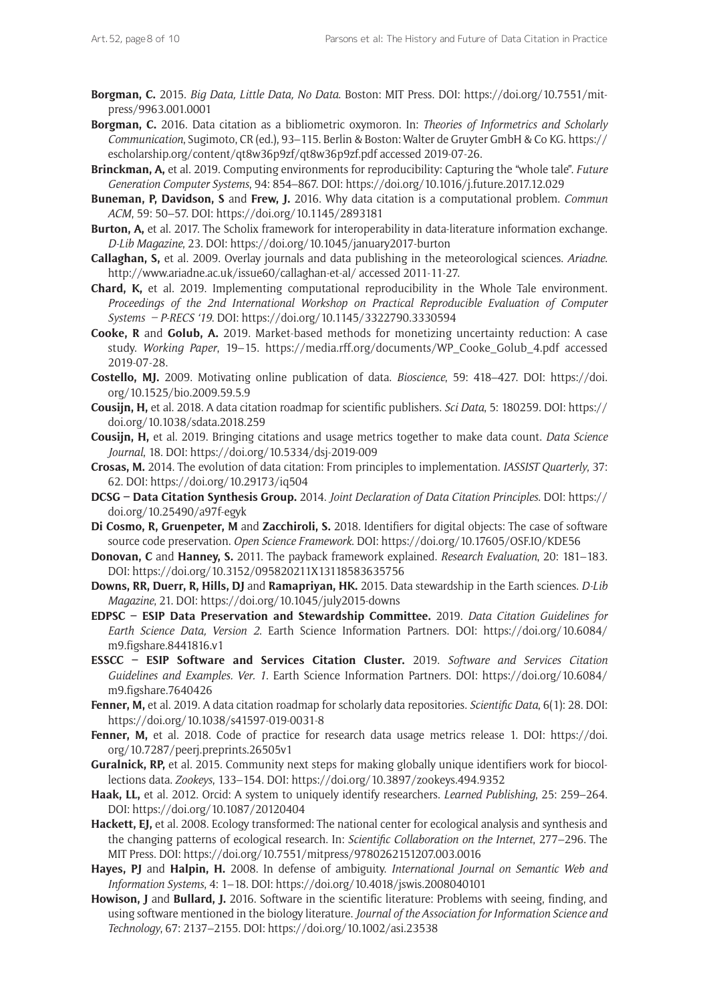- **Borgman, C.** 2015. *Big Data, Little Data, No Data*. Boston: MIT Press. DOI: [https://doi.org/10.7551/mit](https://doi.org/10.7551/mitpress/9963.001.0001)[press/9963.001.0001](https://doi.org/10.7551/mitpress/9963.001.0001)
- **Borgman, C.** 2016. Data citation as a bibliometric oxymoron. In: *Theories of Informetrics and Scholarly Communication*, Sugimoto, CR (ed.), 93–115. Berlin & Boston: Walter de Gruyter GmbH & Co KG. [https://](https://escholarship.org/content/qt8w36p9zf/qt8w36p9zf.pdf) [escholarship.org/content/qt8w36p9zf/qt8w36p9zf.pdf](https://escholarship.org/content/qt8w36p9zf/qt8w36p9zf.pdf) accessed 2019-07-26.
- **Brinckman, A,** et al. 2019. Computing environments for reproducibility: Capturing the "whole tale". *Future Generation Computer Systems*, 94: 854–867. DOI:<https://doi.org/10.1016/j.future.2017.12.029>
- **Buneman, P, Davidson, S** and **Frew, J.** 2016. Why data citation is a computational problem. *Commun ACM*, 59: 50–57. DOI: <https://doi.org/10.1145/2893181>
- **Burton, A,** et al. 2017. The Scholix framework for interoperability in data-literature information exchange. *D-Lib Magazine*, 23. DOI:<https://doi.org/10.1045/january2017-burton>
- **Callaghan, S,** et al. 2009. Overlay journals and data publishing in the meteorological sciences. *Ariadne*. <http://www.ariadne.ac.uk/issue60/callaghan-et-al/> accessed 2011-11-27.
- **Chard, K,** et al. 2019. Implementing computational reproducibility in the Whole Tale environment. *Proceedings of the 2nd International Workshop on Practical Reproducible Evaluation of Computer Systems – P-RECS '19*. DOI: <https://doi.org/10.1145/3322790.3330594>
- **Cooke, R** and **Golub, A.** 2019. Market-based methods for monetizing uncertainty reduction: A case study. *Working Paper*, 19–15. [https://media.rff.org/documents/WP\\_Cooke\\_Golub\\_4.pdf](https://media.rff.org/documents/WP_Cooke_Golub_4.pdf) accessed 2019-07-28.
- **Costello, MJ.** 2009. Motivating online publication of data. *Bioscience*, 59: 418–427. DOI: [https://doi.](https://doi.org/10.1525/bio.2009.59.5.9) [org/10.1525/bio.2009.59.5.9](https://doi.org/10.1525/bio.2009.59.5.9)
- **Cousijn, H,** et al. 2018. A data citation roadmap for scientific publishers. *Sci Data*, 5: 180259. DOI: [https://](https://doi.org/10.1038/sdata.2018.259) [doi.org/10.1038/sdata.2018.259](https://doi.org/10.1038/sdata.2018.259)
- **Cousijn, H,** et al. 2019. Bringing citations and usage metrics together to make data count. *Data Science Journal*, 18. DOI: <https://doi.org/10.5334/dsj-2019-009>
- **Crosas, M.** 2014. The evolution of data citation: From principles to implementation. *IASSIST Quarterly*, 37: 62. DOI:<https://doi.org/10.29173/iq504>
- **DCSG Data Citation Synthesis Group.** 2014. *Joint Declaration of Data Citation Principles*. DOI: [https://](https://doi.org/10.25490/a97f-egyk) [doi.org/10.25490/a97f-egyk](https://doi.org/10.25490/a97f-egyk)
- **Di Cosmo, R, Gruenpeter, M** and **Zacchiroli, S.** 2018. Identifiers for digital objects: The case of software source code preservation. *Open Science Framework*. DOI:<https://doi.org/10.17605/OSF.IO/KDE56>
- **Donovan, C** and **Hanney, S.** 2011. The payback framework explained. *Research Evaluation*, 20: 181–183. DOI:<https://doi.org/10.3152/095820211X13118583635756>
- **Downs, RR, Duerr, R, Hills, DJ** and **Ramapriyan, HK.** 2015. Data stewardship in the Earth sciences. *D-Lib Magazine*, 21. DOI:<https://doi.org/10.1045/july2015-downs>
- **EDPSC ESIP Data Preservation and Stewardship Committee.** 2019. *Data Citation Guidelines for Earth Science Data, Version 2*. Earth Science Information Partners. DOI: [https://doi.org/10.6084/](https://doi.org/10.6084/m9.figshare.8441816.v1) [m9.figshare.8441816.v1](https://doi.org/10.6084/m9.figshare.8441816.v1)
- **ESSCC ESIP Software and Services Citation Cluster.** 2019. *Software and Services Citation Guidelines and Examples. Ver. 1*. Earth Science Information Partners. DOI: [https://doi.org/10.6084/](https://doi.org/10.6084/m9.figshare.7640426) [m9.figshare.7640426](https://doi.org/10.6084/m9.figshare.7640426)
- **Fenner, M,** et al. 2019. A data citation roadmap for scholarly data repositories. *Scientific Data*, 6(1): 28. DOI: <https://doi.org/10.1038/s41597-019-0031-8>
- Fenner, M, et al. 2018. Code of practice for research data usage metrics release 1. DOI: [https://doi.](https://doi.org/10.7287/peerj.preprints.26505v1) [org/10.7287/peerj.preprints.26505v1](https://doi.org/10.7287/peerj.preprints.26505v1)
- **Guralnick, RP,** et al. 2015. Community next steps for making globally unique identifiers work for biocollections data. *Zookeys*, 133–154. DOI: <https://doi.org/10.3897/zookeys.494.9352>
- **Haak, LL,** et al. 2012. Orcid: A system to uniquely identify researchers. *Learned Publishing*, 25: 259–264. DOI:<https://doi.org/10.1087/20120404>
- **Hackett, EJ,** et al. 2008. Ecology transformed: The national center for ecological analysis and synthesis and the changing patterns of ecological research. In: *Scientific Collaboration on the Internet*, 277–296. The MIT Press. DOI:<https://doi.org/10.7551/mitpress/9780262151207.003.0016>
- **Hayes, PJ** and **Halpin, H.** 2008. In defense of ambiguity. *International Journal on Semantic Web and Information Systems*, 4: 1–18. DOI: <https://doi.org/10.4018/jswis.2008040101>
- **Howison, J** and **Bullard, J.** 2016. Software in the scientific literature: Problems with seeing, finding, and using software mentioned in the biology literature. *Journal of the Association for Information Science and Technology*, 67: 2137–2155. DOI:<https://doi.org/10.1002/asi.23538>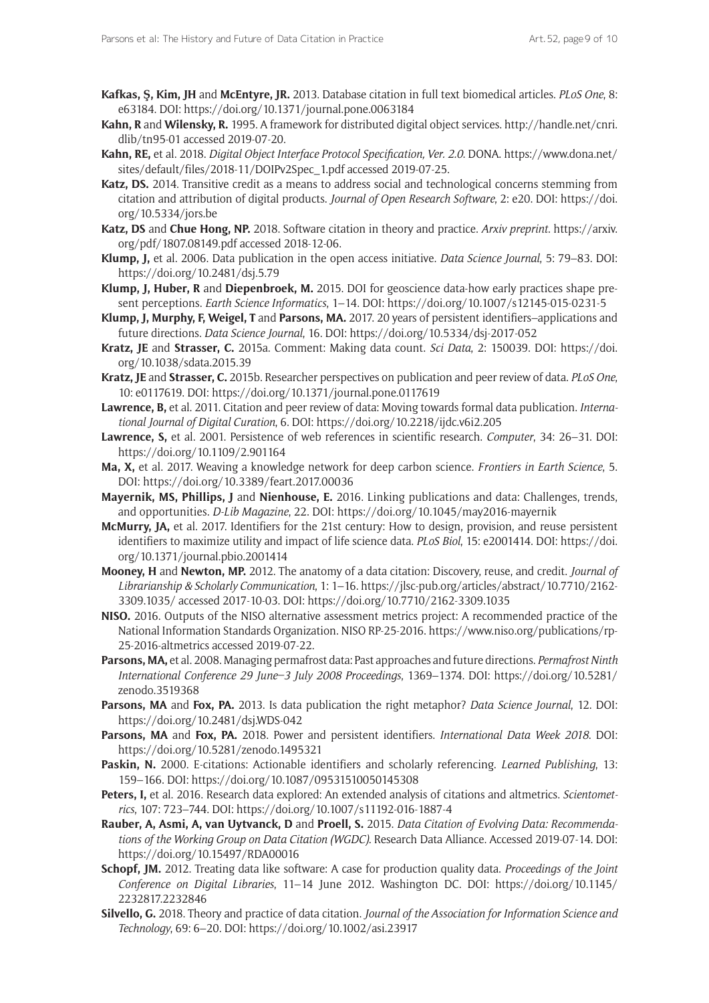- **Kafkas, Ş, Kim, JH** and **McEntyre, JR.** 2013. Database citation in full text biomedical articles. *PLoS One*, 8: e63184. DOI:<https://doi.org/10.1371/journal.pone.0063184>
- **Kahn, R** and **Wilensky, R.** 1995. A framework for distributed digital object services. [http://handle.net/cnri.](http://handle.net/cnri.dlib/tn95-01) [dlib/tn95-01](http://handle.net/cnri.dlib/tn95-01) accessed 2019-07-20.
- **Kahn, RE,** et al. 2018. *Digital Object Interface Protocol Specification, Ver. 2.0*. DONA. [https://www.dona.net/](https://www.dona.net/sites/default/files/2018-11/DOIPv2Spec_1.pdf) [sites/default/files/2018-11/DOIPv2Spec\\_1.pdf](https://www.dona.net/sites/default/files/2018-11/DOIPv2Spec_1.pdf) accessed 2019-07-25.
- **Katz, DS.** 2014. Transitive credit as a means to address social and technological concerns stemming from citation and attribution of digital products. *Journal of Open Research Software*, 2: e20. DOI: [https://doi.](https://doi.org/10.5334/jors.be) [org/10.5334/jors.be](https://doi.org/10.5334/jors.be)
- **Katz, DS** and **Chue Hong, NP.** 2018. Software citation in theory and practice. *Arxiv preprint*. [https://arxiv.](https://arxiv.org/pdf/1807.08149.pdf) [org/pdf/1807.08149.pdf](https://arxiv.org/pdf/1807.08149.pdf) accessed 2018-12-06.
- **Klump, J,** et al. 2006. Data publication in the open access initiative. *Data Science Journal*, 5: 79–83. DOI: <https://doi.org/10.2481/dsj.5.79>
- **Klump, J, Huber, R** and **Diepenbroek, M.** 2015. DOI for geoscience data-how early practices shape present perceptions. *Earth Science Informatics*, 1–14. DOI:<https://doi.org/10.1007/s12145-015-0231-5>
- **Klump, J, Murphy, F, Weigel, T** and **Parsons, MA.** 2017. 20 years of persistent identifiers–applications and future directions. *Data Science Journal*, 16. DOI: <https://doi.org/10.5334/dsj-2017-052>
- **Kratz, JE** and **Strasser, C.** 2015a. Comment: Making data count. *Sci Data*, 2: 150039. DOI: [https://doi.](https://doi.org/10.1038/sdata.2015.39) [org/10.1038/sdata.2015.39](https://doi.org/10.1038/sdata.2015.39)
- **Kratz, JE** and **Strasser, C.** 2015b. Researcher perspectives on publication and peer review of data. *PLoS One*, 10: e0117619. DOI: <https://doi.org/10.1371/journal.pone.0117619>
- **Lawrence, B,** et al. 2011. Citation and peer review of data: Moving towards formal data publication. *International Journal of Digital Curation*, 6. DOI: <https://doi.org/10.2218/ijdc.v6i2.205>
- **Lawrence, S,** et al. 2001. Persistence of web references in scientific research. *Computer*, 34: 26–31. DOI: <https://doi.org/10.1109/2.901164>
- **Ma, X,** et al. 2017. Weaving a knowledge network for deep carbon science. *Frontiers in Earth Science*, 5. DOI:<https://doi.org/10.3389/feart.2017.00036>
- **Mayernik, MS, Phillips, J** and **Nienhouse, E.** 2016. Linking publications and data: Challenges, trends, and opportunities. *D-Lib Magazine*, 22. DOI:<https://doi.org/10.1045/may2016-mayernik>
- **McMurry, JA,** et al. 2017. Identifiers for the 21st century: How to design, provision, and reuse persistent identifiers to maximize utility and impact of life science data. *PLoS Biol*, 15: e2001414. DOI: [https://doi.](https://doi.org/10.1371/journal.pbio.2001414) [org/10.1371/journal.pbio.2001414](https://doi.org/10.1371/journal.pbio.2001414)
- **Mooney, H** and **Newton, MP.** 2012. The anatomy of a data citation: Discovery, reuse, and credit. *Journal of Librarianship & Scholarly Communication*, 1: 1–16. [https://jlsc-pub.org/articles/abstract/10.7710/2162-](https://jlsc-pub.org/articles/abstract/10.7710/2162-3309.1035/) [3309.1035/](https://jlsc-pub.org/articles/abstract/10.7710/2162-3309.1035/) accessed 2017-10-03. DOI:<https://doi.org/10.7710/2162-3309.1035>
- **NISO.** 2016. Outputs of the NISO alternative assessment metrics project: A recommended practice of the National Information Standards Organization. NISO RP-25-2016. [https://www.niso.org/publications/rp-](https://www.niso.org/publications/rp-25-2016-altmetrics)[25-2016-altmetrics](https://www.niso.org/publications/rp-25-2016-altmetrics) accessed 2019-07-22.
- **Parsons, MA,** et al. 2008. Managing permafrost data: Past approaches and future directions. *Permafrost Ninth International Conference 29 June–3 July 2008 Proceedings*, 1369–1374. DOI: [https://doi.org/10.5281/](https://doi.org/10.5281/zenodo.3519368) [zenodo.3519368](https://doi.org/10.5281/zenodo.3519368)
- **Parsons, MA** and **Fox, PA.** 2013. Is data publication the right metaphor? *Data Science Journal*, 12. DOI: <https://doi.org/10.2481/dsj.WDS-042>
- **Parsons, MA** and **Fox, PA.** 2018. Power and persistent identifiers. *International Data Week 2018*. DOI: <https://doi.org/10.5281/zenodo.1495321>
- **Paskin, N.** 2000. E-citations: Actionable identifiers and scholarly referencing. *Learned Publishing*, 13: 159–166. DOI: <https://doi.org/10.1087/09531510050145308>
- **Peters, I,** et al. 2016. Research data explored: An extended analysis of citations and altmetrics. *Scientometrics*, 107: 723–744. DOI: <https://doi.org/10.1007/s11192-016-1887-4>
- **Rauber, A, Asmi, A, van Uytvanck, D** and **Proell, S.** 2015. *Data Citation of Evolving Data: Recommendations of the Working Group on Data Citation (WGDC)*. Research Data Alliance. Accessed 2019-07-14. DOI: <https://doi.org/10.15497/RDA00016>
- **Schopf, JM.** 2012. Treating data like software: A case for production quality data. *Proceedings of the Joint Conference on Digital Libraries*, 11–14 June 2012. Washington DC. DOI: [https://doi.org/10.1145/](https://doi.org/10.1145/2232817.2232846) [2232817.2232846](https://doi.org/10.1145/2232817.2232846)
- **Silvello, G.** 2018. Theory and practice of data citation. *Journal of the Association for Information Science and Technology*, 69: 6–20. DOI:<https://doi.org/10.1002/asi.23917>